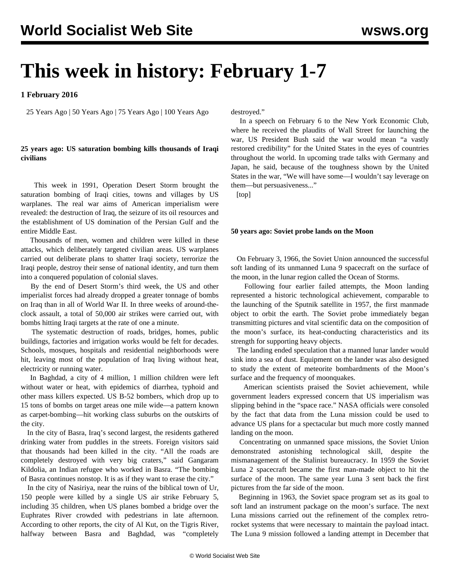# **This week in history: February 1-7**

## **1 February 2016**

25 Years Ago | 50 Years Ago | 75 Years Ago | 100 Years Ago

### **25 years ago: US saturation bombing kills thousands of Iraqi civilians**

 This week in 1991, Operation Desert Storm brought the saturation bombing of Iraqi cities, towns and villages by US warplanes. The real war aims of American imperialism were revealed: the destruction of Iraq, the seizure of its oil resources and the establishment of US domination of the Persian Gulf and the entire Middle East.

 Thousands of men, women and children were killed in these attacks, which deliberately targeted civilian areas. US warplanes carried out deliberate plans to shatter Iraqi society, terrorize the Iraqi people, destroy their sense of national identity, and turn them into a conquered population of colonial slaves.

 By the end of Desert Storm's third week, the US and other imperialist forces had already dropped a greater tonnage of bombs on Iraq than in all of World War II. In three weeks of around-theclock assault, a total of 50,000 air strikes were carried out, with bombs hitting Iraqi targets at the rate of one a minute.

 The systematic destruction of roads, bridges, homes, public buildings, factories and irrigation works would be felt for decades. Schools, mosques, hospitals and residential neighborhoods were hit, leaving most of the population of Iraq living without heat, electricity or running water.

 In Baghdad, a city of 4 million, 1 million children were left without water or heat, with epidemics of diarrhea, typhoid and other mass killers expected. US B-52 bombers, which drop up to 15 tons of bombs on target areas one mile wide—a pattern known as carpet-bombing—hit working class suburbs on the outskirts of the city.

 In the city of Basra, Iraq's second largest, the residents gathered drinking water from puddles in the streets. Foreign visitors said that thousands had been killed in the city. "All the roads are completely destroyed with very big craters," said Gangaram Kildolia, an Indian refugee who worked in Basra. "The bombing of Basra continues nonstop. It is as if they want to erase the city."

 In the city of Nasiriya, near the ruins of the biblical town of Ur, 150 people were killed by a single US air strike February 5, including 35 children, when US planes bombed a bridge over the Euphrates River crowded with pedestrians in late afternoon. According to other reports, the city of Al Kut, on the Tigris River, halfway between Basra and Baghdad, was "completely

destroyed."

 In a speech on February 6 to the New York Economic Club, where he received the plaudits of Wall Street for launching the war, US President Bush said the war would mean "a vastly restored credibility" for the United States in the eyes of countries throughout the world. In upcoming trade talks with Germany and Japan, he said, because of the toughness shown by the United States in the war, "We will have some—I wouldn't say leverage on them—but persuasiveness..."

[top]

#### **50 years ago: Soviet probe lands on the Moon**

 On February 3, 1966, the Soviet Union announced the successful soft landing of its unmanned Luna 9 spacecraft on the surface of the moon, in the lunar region called the Ocean of Storms.

 Following four earlier failed attempts, the Moon landing represented a historic technological achievement, comparable to the launching of the Sputnik satellite in 1957, the first manmade object to orbit the earth. The Soviet probe immediately began transmitting pictures and vital scientific data on the composition of the moon's surface, its heat-conducting characteristics and its strength for supporting heavy objects.

 The landing ended speculation that a manned lunar lander would sink into a sea of dust. Equipment on the lander was also designed to study the extent of meteorite bombardments of the Moon's surface and the frequency of moonquakes.

 American scientists praised the Soviet achievement, while government leaders expressed concern that US imperialism was slipping behind in the "space race." NASA officials were consoled by the fact that data from the Luna mission could be used to advance US plans for a spectacular but much more costly manned landing on the moon.

 Concentrating on unmanned space missions, the Soviet Union demonstrated astonishing technological skill, despite the mismanagement of the Stalinist bureaucracy. In 1959 the Soviet Luna 2 spacecraft became the first man-made object to hit the surface of the moon. The same year Luna 3 sent back the first pictures from the far side of the moon.

 Beginning in 1963, the Soviet space program set as its goal to soft land an instrument package on the moon's surface. The next Luna missions carried out the refinement of the complex retrorocket systems that were necessary to maintain the payload intact. The Luna 9 mission followed a landing attempt in December that